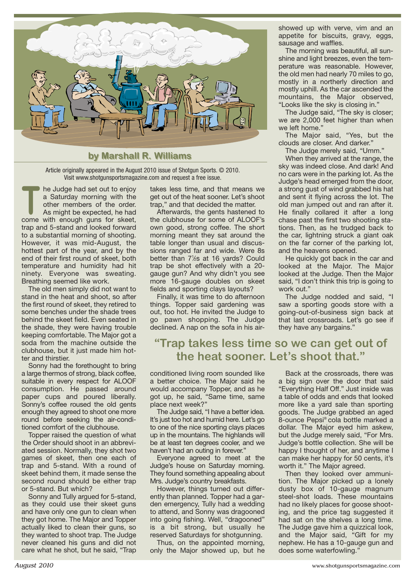

Article originally appeared in the August 2010 issue of Shotgun Sports. © 2010. Visit [www.shotgunsportsmagazine.com an](http://www.shotgunsportsmagazine.com)d request a free issue.

he Judge had set out to enjoy a Saturday morning with the other members of the order. As might be expected, he had a Saturday morning with the<br>other members of the order.<br>As might be expected, he had<br>come with enough guns for skeet, trap and 5-stand and looked forward to a substantial morning of shooting. However, it was mid-August, the hottest part of the year, and by the end of their first round of skeet, both temperature and humidity had hit ninety. Everyone was sweating. Breathing seemed like work.

The old men simply did not want to stand in the heat and shoot, so after the first round of skeet, they retired to some benches under the shade trees behind the skeet field. Even seated in the shade, they were having trouble keeping comfortable. The Major got a soda from the machine outside the clubhouse, but it just made him hotter and thirstier.

Sonny had the forethought to bring a large thermos of strong, black coffee, suitable in every respect for ALOOF consumption. He passed around paper cups and poured liberally. Sonny's coffee roused the old gents enough they agreed to shoot one more round before seeking the air-conditioned comfort of the clubhouse.

Topper raised the question of what the Order should shoot in an abbreviated session. Normally, they shot two games of skeet, then one each of trap and 5-stand. With a round of skeet behind them, it made sense the second round should be either trap or 5-stand. But which?

Sonny and Tully argued for 5-stand, as they could use their skeet guns and have only one gun to clean when they got home. The Major and Topper actually liked to clean their guns, so they wanted to shoot trap. The Judge never cleaned his guns and did not care what he shot, but he said, "Trap

takes less time, and that means we get out of the heat sooner. Let's shoot trap," and that decided the matter.

Afterwards, the gents hastened to the clubhouse for some of ALOOF's own good, strong coffee. The short morning meant they sat around the table longer than usual and discussions ranged far and wide. Were 8s better than 7<sup>1</sup>/<sub>2</sub>s at 16 yards? Could trap be shot effectively with a 20 gauge gun? And why didn't you see more 16-gauge doubles on skeet fields and sporting clays layouts?

Finally, it was time to do afternoon things. Topper said gardening was out, too hot. He invited the Judge to go pawn shopping. The Judge declined. A nap on the sofa in his airshowed up with verve, vim and an appetite for biscuits, gravy, eggs, sausage and waffles.

The morning was beautiful, all sunshine and light breezes, even the temperature was reasonable. However, the old men had nearly 70 miles to go, mostly in a northerly direction and mostly uphill. As the car ascended the mountains, the Major observed, "Looks like the sky is closing in."

The Judge said, "The sky is closer; we are 2,000 feet higher than when we left home."

The Major said, "Yes, but the clouds are closer. And darker."

The Judge merely said, "Umm."

When they arrived at the range, the sky was indeed close. And dark! And no cars were in the parking lot. As the Judge's head emerged from the door, a strong gust of wind grabbed his hat and sent it flying across the lot. The old man jumped out and ran after it. He finally collared it after a long chase past the first two shooting stations. Then, as he trudged back to the car, lightning struck a giant oak on the far corner of the parking lot, and the heavens opened.

He quickly got back in the car and looked at the Major. The Major looked at the Judge. Then the Major said, "I don't think this trip is going to work out."

The Judge nodded and said, "I saw a sporting goods store with a going-out-of-business sign back at that last crossroads. Let's go see if they have any bargains."

## **"Trap takes less time so we can get out of the heat sooner. Let's shoot that."**

conditioned living room sounded like a better choice. The Major said he would accompany Topper, and as he got up, he said, "Same time, same place next week?"

The Judge said, "I have a better idea. It's just too hot and humid here. Let's go to one of the nice sporting clays places up in the mountains. The highlands will be at least ten degrees cooler, and we haven't had an outing in forever."

Everyone agreed to meet at the Judge's house on Saturday morning. They found something appealing about Mrs. Judge's country breakfasts.

However, things turned out differently than planned. Topper had a garden emergency, Tully had a wedding to attend, and Sonny was dragooned into going fishing. Well, "dragooned" is a bit strong, but usually he reserved Saturdays for shotgunning.

Thus, on the appointed morning, only the Major showed up, but he

Back at the crossroads, there was a big sign over the door that said "Everything Half Off." Just inside was a table of odds and ends that looked more like a yard sale than sporting goods. The Judge grabbed an aged 8-ounce Pepsi® cola bottle marked a dollar. The Major eyed him askew, but the Judge merely said, "For Mrs. Judge's bottle collection. She will be happy I thought of her, and anytime I can make her happy for 50 cents, it's worth it." The Major agreed.

Then they looked over ammunition. The Major picked up a lonely dusty box of 10-gauge magnum steel-shot loads. These mountains had no likely places for goose shooting, and the price tag suggested it had sat on the shelves a long time. The Judge gave him a quizzical look, and the Major said, "Gift for my nephew. He has a 10-gauge gun and does some waterfowling."